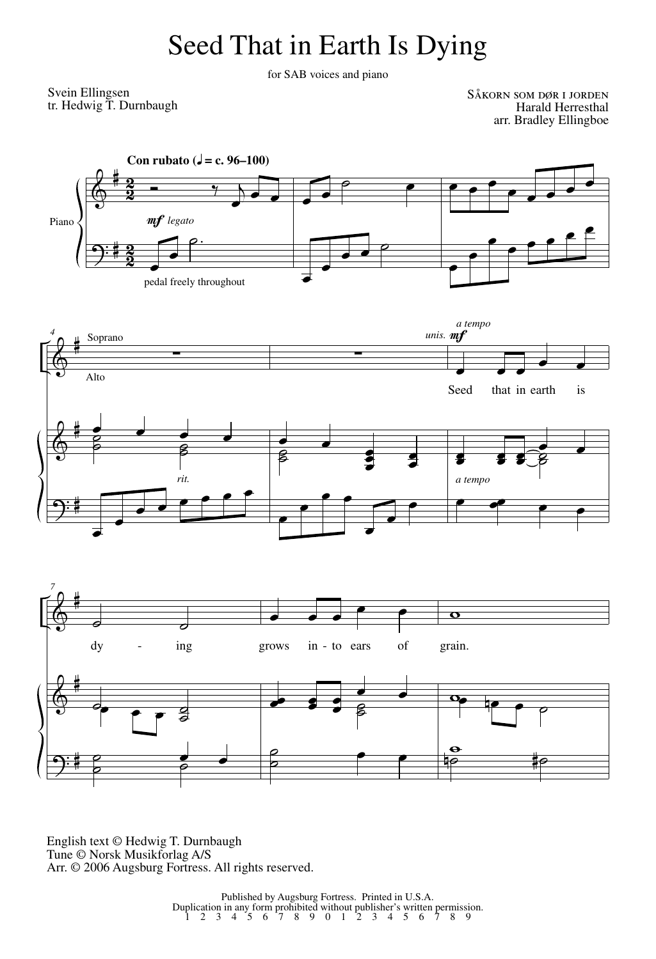## Seed That in Earth Is Dying

for SAB voices and piano

Svein Ellingsen tr. Hedwig T. Durnbaugh

Såkorn som dør i jorden Harald Herresthal arr. Bradley Ellingboe



 $\Theta$ # ˙ ˙  $\circ$   $\circ$  $\overline{\phantom{a}}$ ˙  $\frac{1}{2}$  $\overline{\mathbf{e}}$  $\ddot{\mathbf{e}}$  $\frac{\Theta}{\Theta}$   $\frac{\Theta}{\Theta}$ 

English text © Hedwig T. Durnbaugh Tune © Norsk Musikforlag A/S Arr. © 2006 Augsburg Fortress. All rights reserved.

Published by Augsburg Fortress. Printed in U.S.A.<br>
Duplication in any form prohibited without publisher's written permission.<br>
1 2 3 4 5 6 7 8 9 0 1 2 3 4 5 6 7 8 9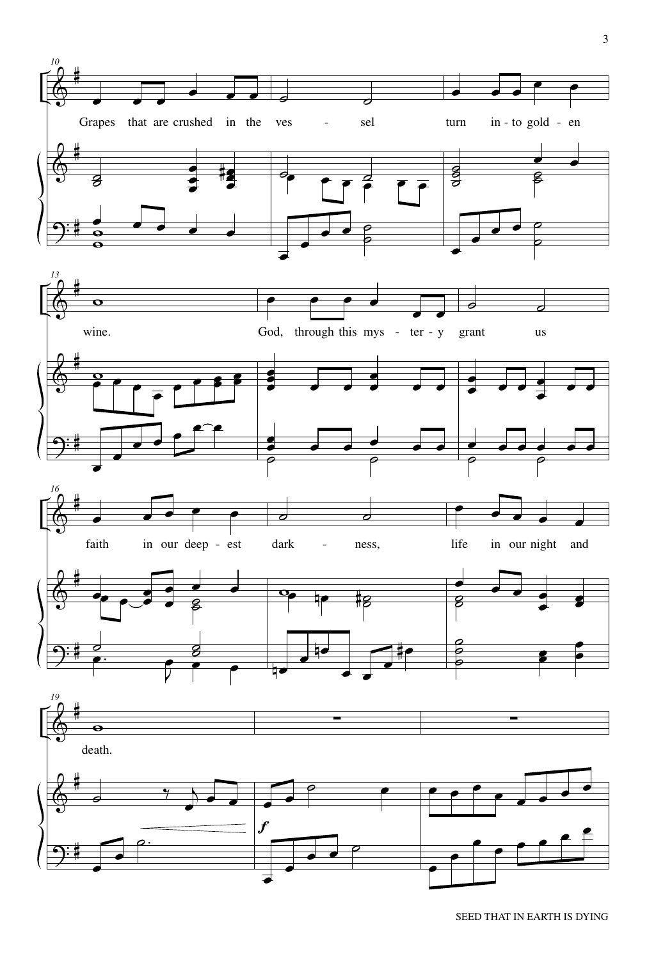

SEED THAT IN EARTH IS DYING